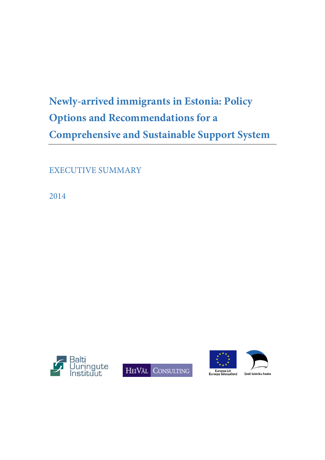## **Newly-arrived immigrants in Estonia: Policy Options and Recommendations for a Comprehensive and Sustainable Support System**

EXECUTIVE SUMMARY

2014









Festi tuleviku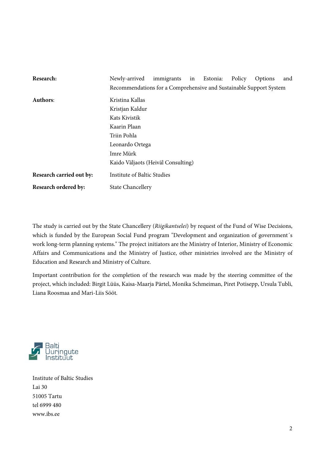| Research:                | Newly-arrived                                                      | immigrants in |  | Estonia: | Policy | Options | and |
|--------------------------|--------------------------------------------------------------------|---------------|--|----------|--------|---------|-----|
|                          | Recommendations for a Comprehensive and Sustainable Support System |               |  |          |        |         |     |
| <b>Authors:</b>          | Kristina Kallas                                                    |               |  |          |        |         |     |
|                          | Kristjan Kaldur                                                    |               |  |          |        |         |     |
|                          | Kats Kivistik                                                      |               |  |          |        |         |     |
|                          | Kaarin Plaan                                                       |               |  |          |        |         |     |
|                          | Triin Pohla                                                        |               |  |          |        |         |     |
|                          | Leonardo Ortega                                                    |               |  |          |        |         |     |
|                          | Imre Mürk                                                          |               |  |          |        |         |     |
|                          | Kaido Väljaots (Heiväl Consulting)                                 |               |  |          |        |         |     |
| Research carried out by: | <b>Institute of Baltic Studies</b>                                 |               |  |          |        |         |     |
| Research ordered by:     | <b>State Chancellery</b>                                           |               |  |          |        |         |     |

The study is carried out by the State Chancellery (*Riigikantselei*) by request of the Fund of Wise Decisions, which is funded by the European Social Fund program "Development and organization of government's work long-term planning systems." The project initiators are the Ministry of Interior, Ministry of Economic Affairs and Communications and the Ministry of Justice, other ministries involved are the Ministry of Education and Research and Ministry of Culture.

Important contribution for the completion of the research was made by the steering committee of the project, which included: Birgit Lüüs, Kaisa-Maarja Pärtel, Monika Schmeiman, Piret Potisepp, Ursula Tubli, Liana Roosmaa and Mari-Liis Sööt.



Institute of Baltic Studies Lai 30 51005 Tartu tel 6999 480 www.ibs.ee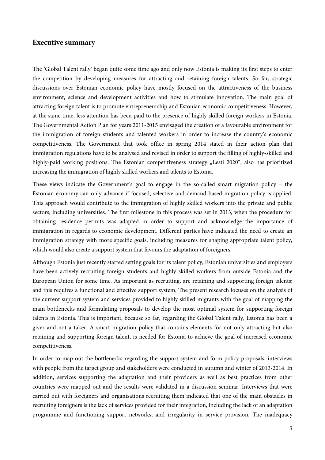## **Executive summary**

The 'Global Talent rally' began quite some time ago and only now Estonia is making its first steps to enter the competition by developing measures for attracting and retaining foreign talents. So far, strategic discussions over Estonian economic policy have mostly focused on the attractiveness of the business environment, science and development activities and how to stimulate innovation. The main goal of attracting foreign talent is to promote entrepreneurship and Estonian economic competitiveness. However, at the same time, less attention has been paid to the presence of highly skilled foreign workers in Estonia. The Governmental Action Plan for years 2011-2015 envisaged the creation of a favourable environment for the immigration of foreign students and talented workers in order to increase the country's economic competitiveness. The Government that took office in spring 2014 stated in their action plan that immigration regulations have to be analysed and revised in order to support the filling of highly-skilled and highly-paid working positions. The Estonian competitiveness strategy "Eesti 2020", also has prioritized increasing the immigration of highly skilled workers and talents to Estonia.

These views indicate the Government's goal to engage in the so-called smart migration policy – the Estonian economy can only advance if focused, selective and demand-based migration policy is applied. This approach would contribute to the immigration of highly skilled workers into the private and public sectors, including universities. The first milestone in this process was set in 2013, when the procedure for obtaining residence permits was adapted in order to support and acknowledge the importance of immigration in regards to economic development. Different parties have indicated the need to create an immigration strategy with more specific goals, including measures for shaping appropriate talent policy, which would also create a support system that favours the adaptation of foreigners.

Although Estonia just recently started setting goals for its talent policy, Estonian universities and employers have been actively recruiting foreign students and highly skilled workers from outside Estonia and the European Union for some time. As important as recruiting, are retaining and supporting foreign talents; and this requires a functional and effective support system. The present research focuses on the analysis of the current support system and services provided to highly skilled migrants with the goal of mapping the main bottlenecks and formulating proposals to develop the most optimal system for supporting foreign talents in Estonia. This is important, because so far, regarding the Global Talent rally, Estonia has been a giver and not a taker. A smart migration policy that contains elements for not only attracting but also retaining and supporting foreign talent, is needed for Estonia to achieve the goal of increased economic competitiveness.

In order to map out the bottlenecks regarding the support system and form policy proposals, interviews with people from the target group and stakeholders were conducted in autumn and winter of 2013-2014. In addition, services supporting the adaptation and their providers as well as best practices from other countries were mapped out and the results were validated in a discussion seminar. Interviews that were carried out with foreigners and organisations recruiting them indicated that one of the main obstacles in recruiting foreigners is the lack of services provided for their integration, including the lack of an adaptation programme and functioning support networks; and irregularity in service provision. The inadequacy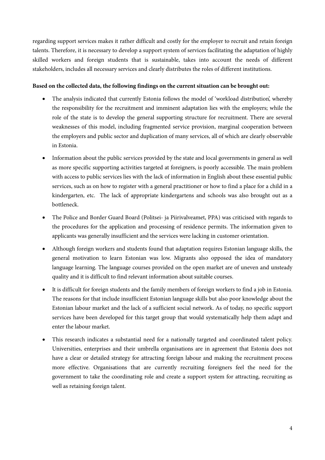regarding support services makes it rather difficult and costly for the employer to recruit and retain foreign talents. Therefore, it is necessary to develop a support system of services facilitating the adaptation of highly skilled workers and foreign students that is sustainable, takes into account the needs of different stakeholders, includes all necessary services and clearly distributes the roles of different institutions.

## **Based on the collected data, the following findings on the current situation can be brought out:**

- The analysis indicated that currently Estonia follows the model of 'workload distribution', whereby the responsibility for the recruitment and imminent adaptation lies with the employers; while the role of the state is to develop the general supporting structure for recruitment. There are several weaknesses of this model, including fragmented service provision, marginal cooperation between the employers and public sector and duplication of many services, all of which are clearly observable in Estonia.
- Information about the public services provided by the state and local governments in general as well as more specific supporting activities targeted at foreigners, is poorly accessible. The main problem with access to public services lies with the lack of information in English about these essential public services, such as on how to register with a general practitioner or how to find a place for a child in a kindergarten, etc. The lack of appropriate kindergartens and schools was also brought out as a bottleneck.
- The Police and Border Guard Board (Politsei- ja Piirivalveamet, PPA) was criticised with regards to the procedures for the application and processing of residence permits. The information given to applicants was generally insufficient and the services were lacking in customer orientation.
- Although foreign workers and students found that adaptation requires Estonian language skills, the general motivation to learn Estonian was low. Migrants also opposed the idea of mandatory language learning. The language courses provided on the open market are of uneven and unsteady quality and it is difficult to find relevant information about suitable courses.
- It is difficult for foreign students and the family members of foreign workers to find a job in Estonia. The reasons for that include insufficient Estonian language skills but also poor knowledge about the Estonian labour market and the lack of a sufficient social network. As of today, no specific support services have been developed for this target group that would systematically help them adapt and enter the labour market.
- This research indicates a substantial need for a nationally targeted and coordinated talent policy. Universities, enterprises and their umbrella organisations are in agreement that Estonia does not have a clear or detailed strategy for attracting foreign labour and making the recruitment process more effective. Organisations that are currently recruiting foreigners feel the need for the government to take the coordinating role and create a support system for attracting, recruiting as well as retaining foreign talent.